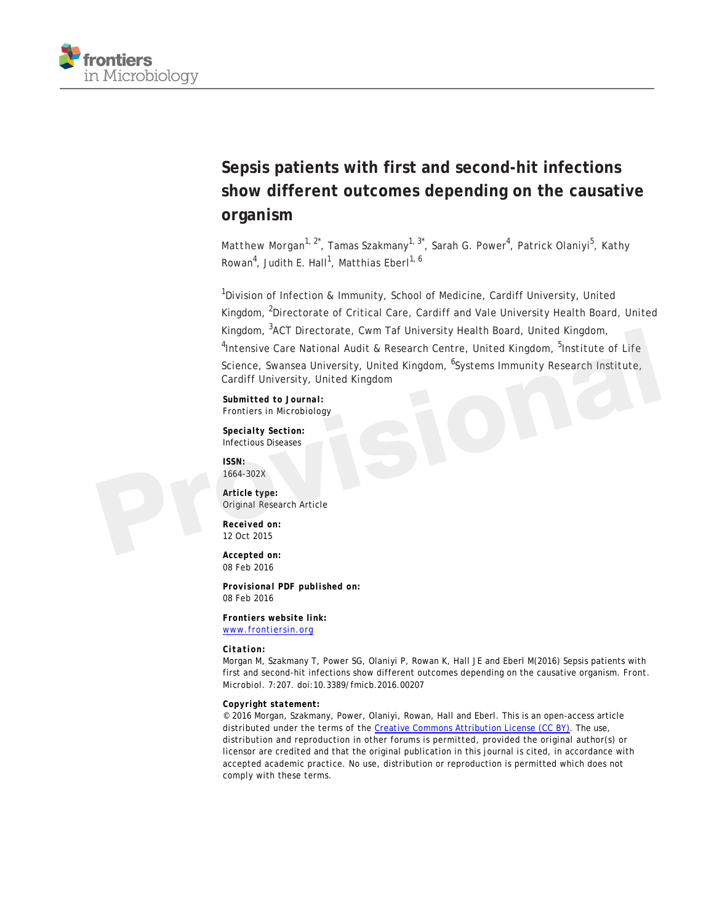

# **Sepsis patients with first and second-hit infections show different outcomes depending on the causative organism**

Matthew Morgan<sup>1, 2\*</sup>, Tamas Szakmany<sup>1, 3\*</sup>, Sarah G. Power<sup>4</sup>, Patrick Olaniyi<sup>5</sup>, Kathy Rowan<sup>4</sup>, Judith E. Hall<sup>1</sup>, Matthias Eberl<sup>1, 6</sup>

<sup>1</sup>Division of Infection & Immunity, School of Medicine, Cardiff University, United Kingdom, <sup>2</sup>Directorate of Critical Care, Cardiff and Vale University Health Board, United Kingdom, <sup>3</sup>ACT Directorate, Cwm Taf University Health Board, United Kingdom, <sup>4</sup>Intensive Care National Audit & Research Centre, United Kingdom, <sup>5</sup>Institute of Life Science, Swansea University, United Kingdom, <sup>6</sup>Systems Immunity Research Institute, Cardiff University, United Kingdom Kingdom, "ACT Directorate, Cwm Tat University Health Board, United Kingdom,<br>
"Intensive Care National Audit & Research Centre, United Kingdom, <sup>5</sup>Institute of Life<br>
Science, Swansea University, United Kingdom, <sup>6</sup>Systems I

*Submitted to Journal:* Frontiers in Microbiology

*Specialty Section:* Infectious Diseases

*ISSN:* 1664-302X

*Article type:* Original Research Article

*Received on:* 12 Oct 2015

*Accepted on:* 08 Feb 2016

*Provisional PDF published on:* 08 Feb 2016

*Frontiers website link:* [www.frontiersin.org](http://www.frontiersin.org/)

*Citation:*

Morgan M, Szakmany T, Power SG, Olaniyi P, Rowan K, Hall JE and Eberl M(2016) Sepsis patients with first and second-hit infections show different outcomes depending on the causative organism. *Front. Microbiol.* 7:207. doi:10.3389/fmicb.2016.00207

#### *Copyright statement:*

© 2016 Morgan, Szakmany, Power, Olaniyi, Rowan, Hall and Eberl. This is an open-access article distributed under the terms of the [Creative Commons Attribution License \(CC BY\).](http://creativecommons.org/licenses/by/4.0/) The use, distribution and reproduction in other forums is permitted, provided the original author(s) or licensor are credited and that the original publication in this journal is cited, in accordance with accepted academic practice. No use, distribution or reproduction is permitted which does not comply with these terms.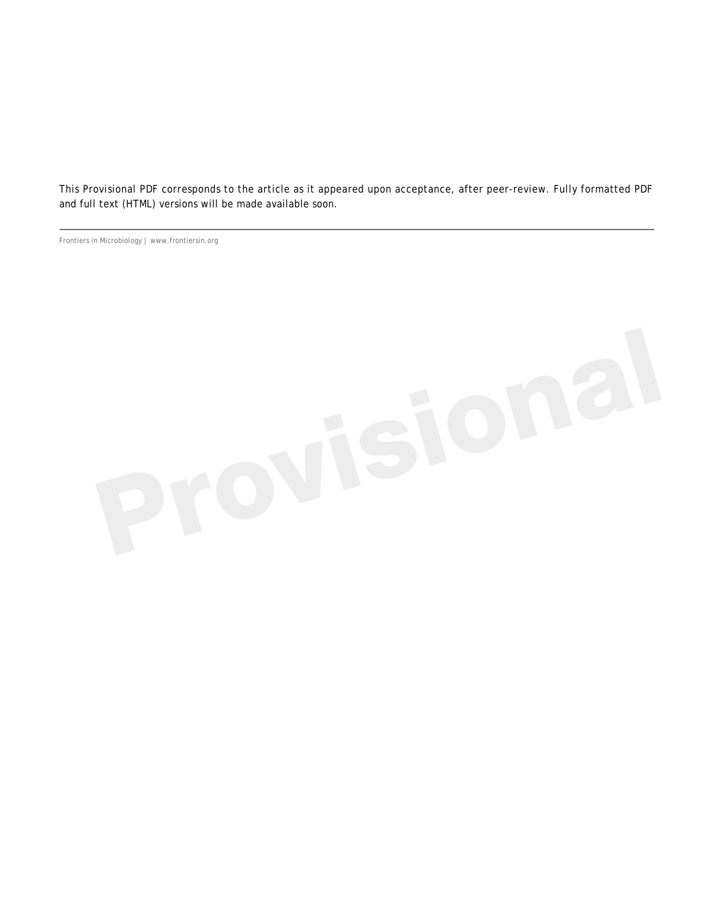This Provisional PDF corresponds to the article as it appeared upon acceptance, after peer-review. Fully formatted PDF and full text (HTML) versions will be made available soon.

Frontiers in Microbiology | www.frontiersin.org

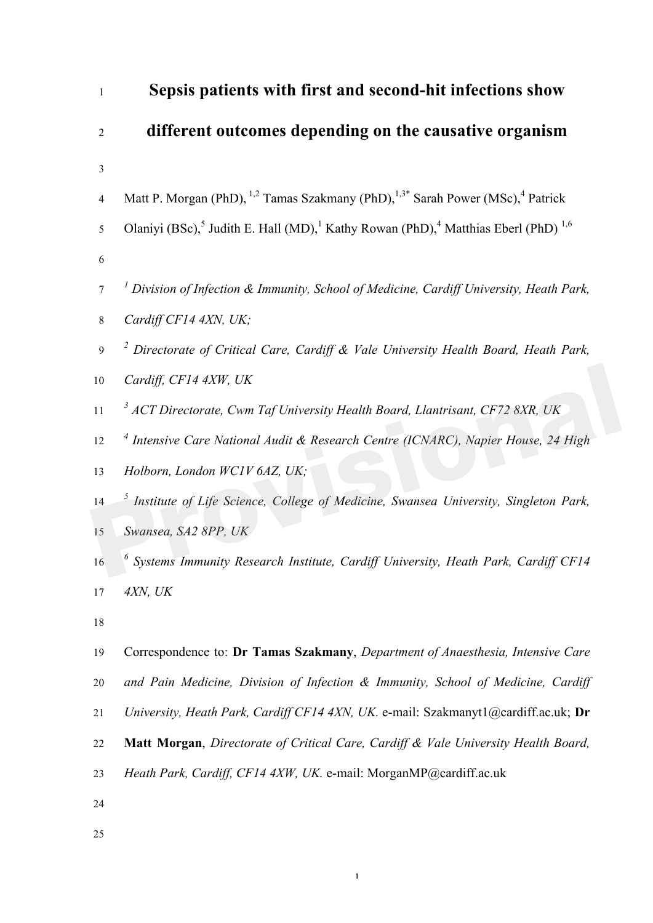| $\mathbf{1}$     | Sepsis patients with first and second-hit infections show                                                          |
|------------------|--------------------------------------------------------------------------------------------------------------------|
| $\overline{2}$   | different outcomes depending on the causative organism                                                             |
| 3                |                                                                                                                    |
| $\overline{4}$   | Matt P. Morgan (PhD), <sup>1,2</sup> Tamas Szakmany (PhD), <sup>1,3*</sup> Sarah Power (MSc), <sup>4</sup> Patrick |
| 5                | Olaniyi (BSc), Judith E. Hall (MD), Kathy Rowan (PhD), $4$ Matthias Eberl (PhD) <sup>1,6</sup>                     |
| $\sqrt{6}$       |                                                                                                                    |
| $\boldsymbol{7}$ | <sup>1</sup> Division of Infection & Immunity, School of Medicine, Cardiff University, Heath Park,                 |
| $8\,$            | Cardiff CF14 4XN, UK;                                                                                              |
| $\mathbf{9}$     | <sup>2</sup> Directorate of Critical Care, Cardiff & Vale University Health Board, Heath Park,                     |
| $10\,$           | Cardiff, CF14 4XW, UK                                                                                              |
| 11               | <sup>3</sup> ACT Directorate, Cwm Taf University Health Board, Llantrisant, CF72 8XR, UK                           |
| 12               | <sup>4</sup> Intensive Care National Audit & Research Centre (ICNARC), Napier House, 24 High                       |
| 13               | Holborn, London WC1V 6AZ, UK;                                                                                      |
| 14               | <sup>5</sup> Institute of Life Science, College of Medicine, Swansea University, Singleton Park,                   |
| 15               | Swansea, SA2 8PP, UK                                                                                               |
| 16               | $\delta$ Systems Immunity Research Institute, Cardiff University, Heath Park, Cardiff CF14                         |
| 17               | 4XN, UK                                                                                                            |
| 18               |                                                                                                                    |
| 19               | Correspondence to: Dr Tamas Szakmany, Department of Anaesthesia, Intensive Care                                    |
| 20               | and Pain Medicine, Division of Infection & Immunity, School of Medicine, Cardiff                                   |
| 21               | University, Heath Park, Cardiff CF14 4XN, UK. e-mail: Szakmanyt1@cardiff.ac.uk; Dr                                 |
| 22               | Matt Morgan, Directorate of Critical Care, Cardiff & Vale University Health Board,                                 |
| 23               | Heath Park, Cardiff, CF14 4XW, UK. e-mail: MorganMP@cardiff.ac.uk                                                  |
| 24               |                                                                                                                    |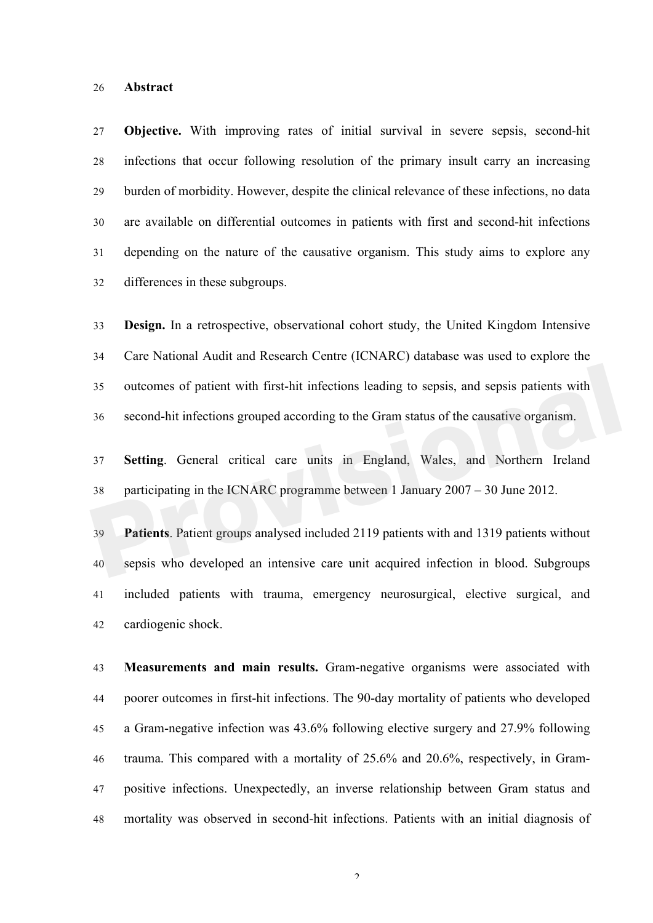#### **Abstract**

 **Objective.** With improving rates of initial survival in severe sepsis, second-hit infections that occur following resolution of the primary insult carry an increasing burden of morbidity. However, despite the clinical relevance of these infections, no data are available on differential outcomes in patients with first and second-hit infections depending on the nature of the causative organism. This study aims to explore any differences in these subgroups.

 **Design.** In a retrospective, observational cohort study, the United Kingdom Intensive Care National Audit and Research Centre (ICNARC) database was used to explore the outcomes of patient with first-hit infections leading to sepsis, and sepsis patients with second-hit infections grouped according to the Gram status of the causative organism. outcomes of patient with first-hit infections leading to sepsis, and sepsis patients with<br>second-hit infections grouped according to the Gram status of the causative organism.<br>**Providend** and **Secondary** Setting. General c

 **Setting**. General critical care units in England, Wales, and Northern Ireland participating in the ICNARC programme between 1 January 2007 – 30 June 2012.

 **Patients**. Patient groups analysed included 2119 patients with and 1319 patients without sepsis who developed an intensive care unit acquired infection in blood. Subgroups included patients with trauma, emergency neurosurgical, elective surgical, and cardiogenic shock.

 **Measurements and main results.** Gram-negative organisms were associated with poorer outcomes in first-hit infections. The 90-day mortality of patients who developed a Gram-negative infection was 43.6% following elective surgery and 27.9% following trauma. This compared with a mortality of 25.6% and 20.6%, respectively, in Gram- positive infections. Unexpectedly, an inverse relationship between Gram status and mortality was observed in second-hit infections. Patients with an initial diagnosis of

 $\mathcal{L}$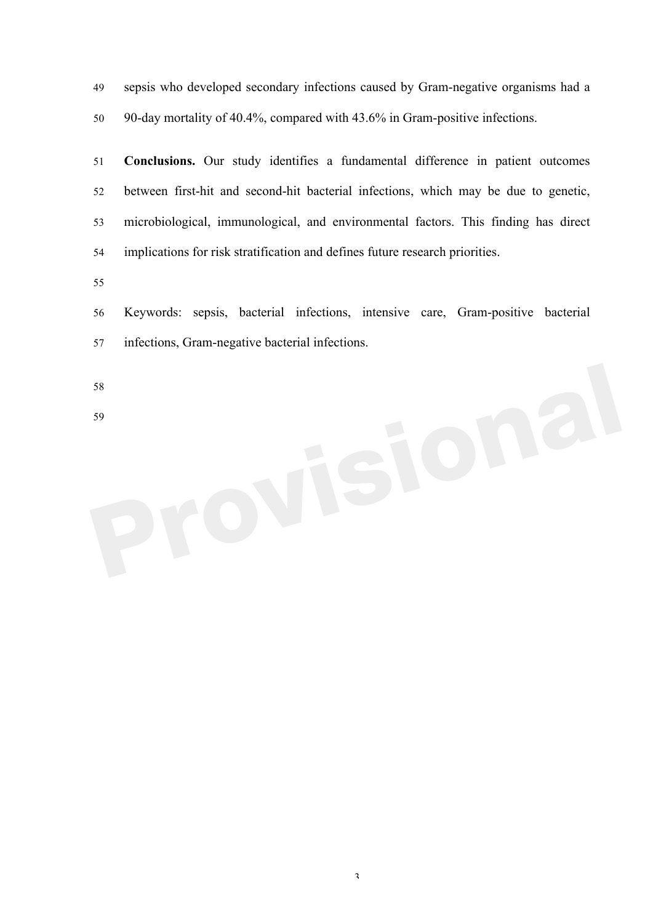sepsis who developed secondary infections caused by Gram-negative organisms had a 90-day mortality of 40.4%, compared with 43.6% in Gram-positive infections.

 **Conclusions.** Our study identifies a fundamental difference in patient outcomes between first-hit and second-hit bacterial infections, which may be due to genetic, microbiological, immunological, and environmental factors. This finding has direct implications for risk stratification and defines future research priorities.

 Keywords: sepsis, bacterial infections, intensive care, Gram-positive bacterial infections, Gram-negative bacterial infections.

- 59**Provisional**
-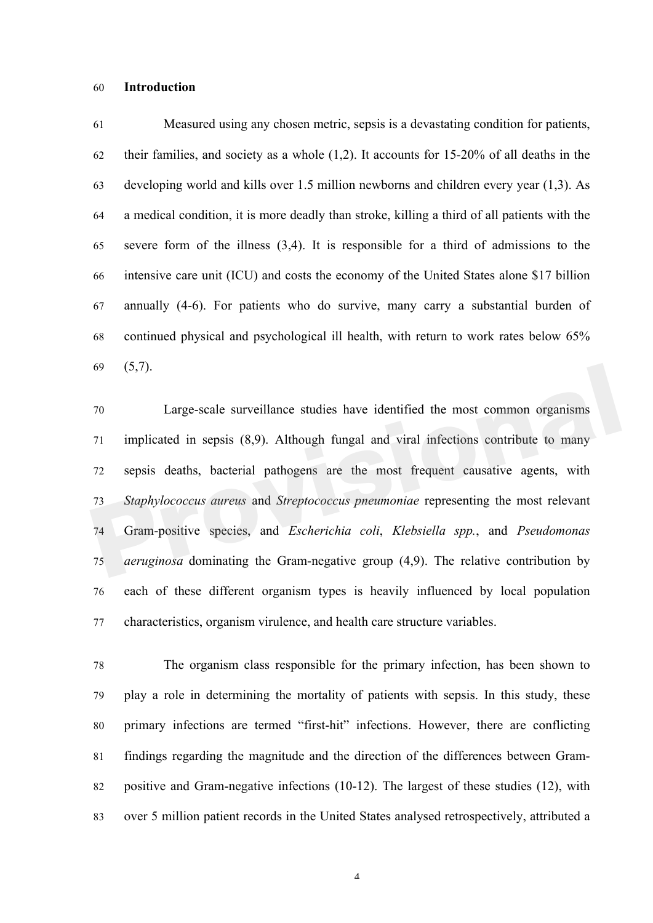#### **Introduction**

 Measured using any chosen metric, sepsis is a devastating condition for patients, 62 their families, and society as a whole  $(1,2)$ . It accounts for 15-20% of all deaths in the developing world and kills over 1.5 million newborns and children every year (1,3). As a medical condition, it is more deadly than stroke, killing a third of all patients with the severe form of the illness (3,4). It is responsible for a third of admissions to the intensive care unit (ICU) and costs the economy of the United States alone \$17 billion annually (4-6). For patients who do survive, many carry a substantial burden of continued physical and psychological ill health, with return to work rates below 65% (5,7).

 Large-scale surveillance studies have identified the most common organisms implicated in sepsis (8,9). Although fungal and viral infections contribute to many sepsis deaths, bacterial pathogens are the most frequent causative agents, with *Staphylococcus aureus* and *Streptococcus pneumoniae* representing the most relevant Gram-positive species, and *Escherichia coli*, *Klebsiella spp.*, and *Pseudomonas aeruginosa* dominating the Gram-negative group (4,9). The relative contribution by each of these different organism types is heavily influenced by local population characteristics, organism virulence, and health care structure variables. (5,7).<br>
Large-scale surveillance studies have identified the most common organisms<br>
implicated in sepsis (8,9). Although fungal and viral infections contribute to many<br>
sepsis deaths, bacterial pathogens are the most frequ

 The organism class responsible for the primary infection, has been shown to play a role in determining the mortality of patients with sepsis. In this study, these primary infections are termed "first-hit" infections. However, there are conflicting findings regarding the magnitude and the direction of the differences between Gram- positive and Gram-negative infections (10-12). The largest of these studies (12), with over 5 million patient records in the United States analysed retrospectively, attributed a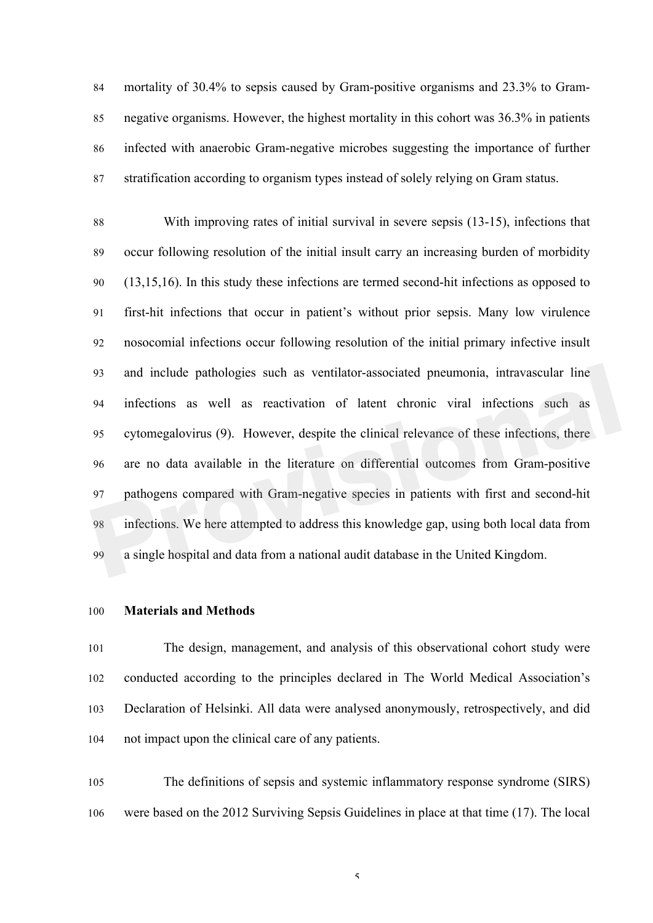mortality of 30.4% to sepsis caused by Gram-positive organisms and 23.3% to Gram- negative organisms. However, the highest mortality in this cohort was 36.3% in patients infected with anaerobic Gram-negative microbes suggesting the importance of further stratification according to organism types instead of solely relying on Gram status.

 With improving rates of initial survival in severe sepsis (13-15), infections that occur following resolution of the initial insult carry an increasing burden of morbidity (13,15,16). In this study these infections are termed second-hit infections as opposed to first-hit infections that occur in patient's without prior sepsis. Many low virulence nosocomial infections occur following resolution of the initial primary infective insult and include pathologies such as ventilator-associated pneumonia, intravascular line infections as well as reactivation of latent chronic viral infections such as cytomegalovirus (9). However, despite the clinical relevance of these infections, there are no data available in the literature on differential outcomes from Gram-positive pathogens compared with Gram-negative species in patients with first and second-hit infections. We here attempted to address this knowledge gap, using both local data from a single hospital and data from a national audit database in the United Kingdom. and include pathologies such as ventilator-associated pneumonia, intravascular line<br>infections as well as reactivation of latent chronic viral infections such as<br>cytomegalovirus (9). However, despite the clinical relevance

#### **Materials and Methods**

 The design, management, and analysis of this observational cohort study were conducted according to the principles declared in The World Medical Association's Declaration of Helsinki. All data were analysed anonymously, retrospectively, and did not impact upon the clinical care of any patients.

 The definitions of sepsis and systemic inflammatory response syndrome (SIRS) were based on the 2012 Surviving Sepsis Guidelines in place at that time (17). The local

 $\varsigma$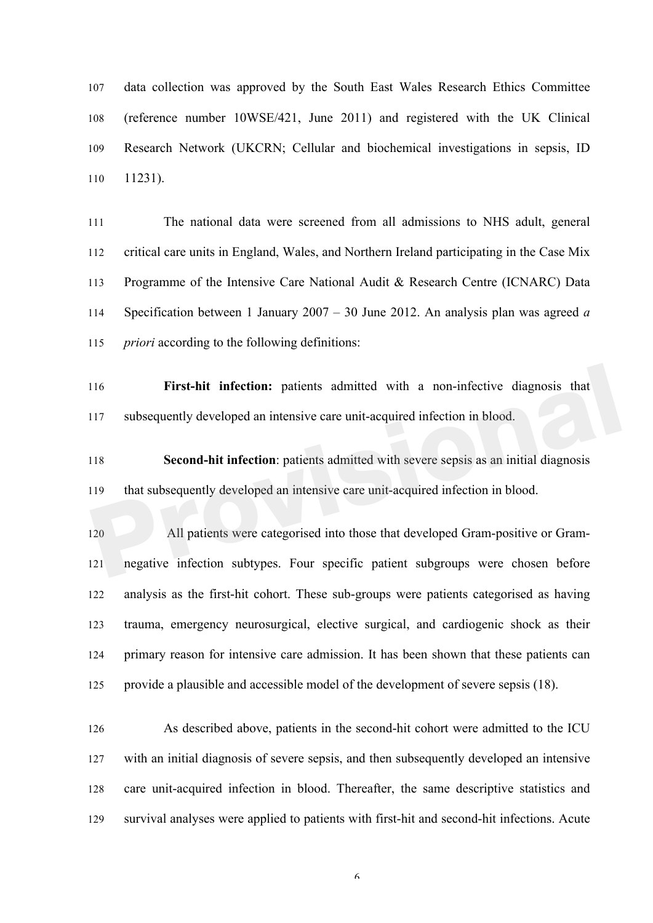data collection was approved by the South East Wales Research Ethics Committee (reference number 10WSE/421, June 2011) and registered with the UK Clinical Research Network (UKCRN; Cellular and biochemical investigations in sepsis, ID 11231).

 The national data were screened from all admissions to NHS adult, general critical care units in England, Wales, and Northern Ireland participating in the Case Mix Programme of the Intensive Care National Audit & Research Centre (ICNARC) Data Specification between 1 January 2007 – 30 June 2012. An analysis plan was agreed *a priori* according to the following definitions:

 **First-hit infection:** patients admitted with a non-infective diagnosis that subsequently developed an intensive care unit-acquired infection in blood.

 **Second-hit infection**: patients admitted with severe sepsis as an initial diagnosis that subsequently developed an intensive care unit-acquired infection in blood.

 All patients were categorised into those that developed Gram-positive or Gram- negative infection subtypes. Four specific patient subgroups were chosen before analysis as the first-hit cohort. These sub-groups were patients categorised as having trauma, emergency neurosurgical, elective surgical, and cardiogenic shock as their primary reason for intensive care admission. It has been shown that these patients can provide a plausible and accessible model of the development of severe sepsis (18). First-hit infection: patients admitted with a non-infective diagnosis that<br>
subsequently developed an intensive care unit-acquired infection in blood.<br> **Provident Second-hit infection**: patients admitted with severe sepsis

 As described above, patients in the second-hit cohort were admitted to the ICU with an initial diagnosis of severe sepsis, and then subsequently developed an intensive care unit-acquired infection in blood. Thereafter, the same descriptive statistics and survival analyses were applied to patients with first-hit and second-hit infections. Acute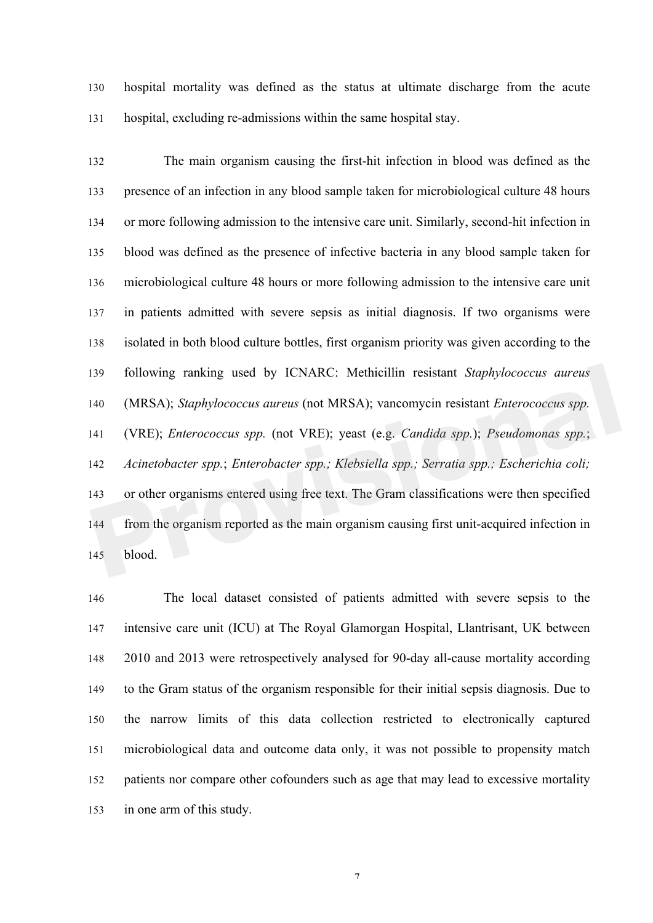hospital mortality was defined as the status at ultimate discharge from the acute hospital, excluding re-admissions within the same hospital stay.

 The main organism causing the first-hit infection in blood was defined as the presence of an infection in any blood sample taken for microbiological culture 48 hours or more following admission to the intensive care unit. Similarly, second-hit infection in blood was defined as the presence of infective bacteria in any blood sample taken for microbiological culture 48 hours or more following admission to the intensive care unit in patients admitted with severe sepsis as initial diagnosis. If two organisms were isolated in both blood culture bottles, first organism priority was given according to the following ranking used by ICNARC: Methicillin resistant *Staphylococcus aureus* (MRSA); *Staphylococcus aureus* (not MRSA); vancomycin resistant *Enterococcus spp.* (VRE); *Enterococcus spp.* (not VRE); yeast (e.g. *Candida spp.*); *Pseudomonas spp.*; *Acinetobacter spp.*; *Enterobacter spp.; Klebsiella spp.; Serratia spp.; Escherichia coli;* or other organisms entered using free text. The Gram classifications were then specified from the organism reported as the main organism causing first unit-acquired infection in blood. following ranking used by ICNARC: Methicillin resistant *Staphylococcus aureus*<br>
(MRSA); *Staphylococcus aureus* (not MRSA); vancomycin resistant *Enterococcus spp.*<br>
(VRE); *Enterococcus spp.* (not VRE); yeast (e.g. *Cand* 

 The local dataset consisted of patients admitted with severe sepsis to the intensive care unit (ICU) at The Royal Glamorgan Hospital, Llantrisant, UK between 2010 and 2013 were retrospectively analysed for 90-day all-cause mortality according to the Gram status of the organism responsible for their initial sepsis diagnosis. Due to the narrow limits of this data collection restricted to electronically captured microbiological data and outcome data only, it was not possible to propensity match patients nor compare other cofounders such as age that may lead to excessive mortality in one arm of this study.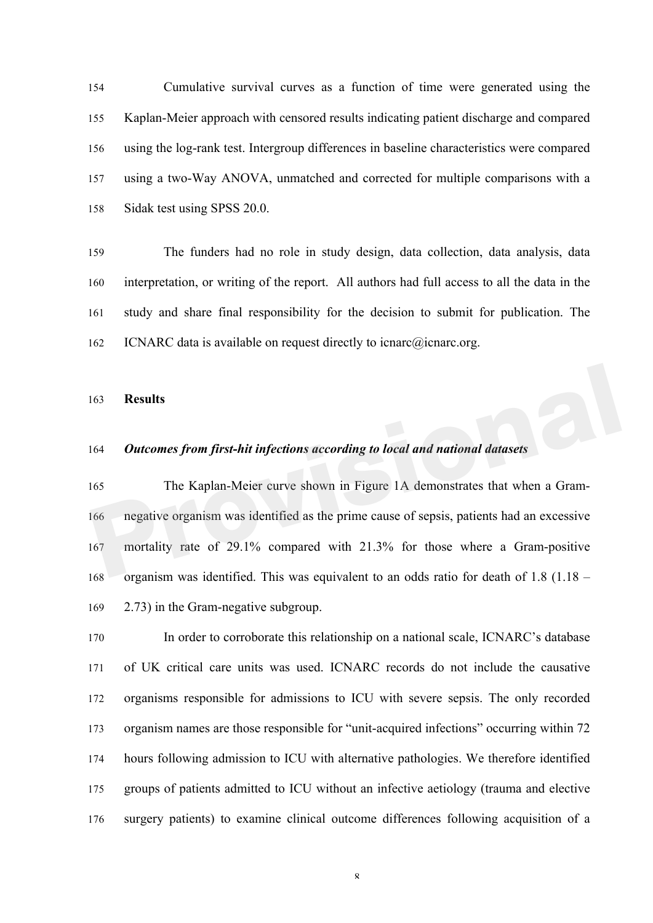Cumulative survival curves as a function of time were generated using the Kaplan-Meier approach with censored results indicating patient discharge and compared using the log-rank test. Intergroup differences in baseline characteristics were compared using a two-Way ANOVA, unmatched and corrected for multiple comparisons with a Sidak test using SPSS 20.0.

 The funders had no role in study design, data collection, data analysis, data interpretation, or writing of the report. All authors had full access to all the data in the study and share final responsibility for the decision to submit for publication. The 162 ICNARC data is available on request directly to icnarc@icnarc.org.

#### **Results**

## *Outcomes from first-hit infections according to local and national datasets*

 The Kaplan-Meier curve shown in Figure 1A demonstrates that when a Gram- negative organism was identified as the prime cause of sepsis, patients had an excessive mortality rate of 29.1% compared with 21.3% for those where a Gram-positive organism was identified. This was equivalent to an odds ratio for death of 1.8 (1.18 – 2.73) in the Gram-negative subgroup. **Results**<br> **Provides From first-hit infections according to local and national datasets**<br> **Providence The Kaplan-Meier curve shown in Figure 1A demonstrates that when a Gram-**<br> **Properties From From From From From From Fro** 

 In order to corroborate this relationship on a national scale, ICNARC's database of UK critical care units was used. ICNARC records do not include the causative organisms responsible for admissions to ICU with severe sepsis. The only recorded organism names are those responsible for "unit-acquired infections" occurring within 72 hours following admission to ICU with alternative pathologies. We therefore identified groups of patients admitted to ICU without an infective aetiology (trauma and elective surgery patients) to examine clinical outcome differences following acquisition of a

 $\mathbf{Q}$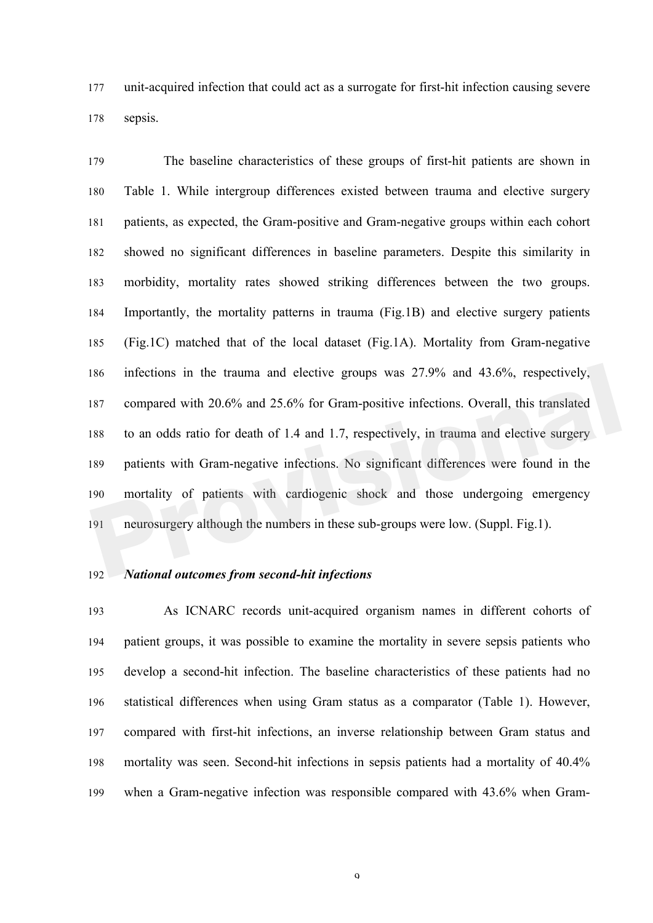unit-acquired infection that could act as a surrogate for first-hit infection causing severe sepsis.

 The baseline characteristics of these groups of first-hit patients are shown in Table 1. While intergroup differences existed between trauma and elective surgery patients, as expected, the Gram-positive and Gram-negative groups within each cohort showed no significant differences in baseline parameters. Despite this similarity in morbidity, mortality rates showed striking differences between the two groups. Importantly, the mortality patterns in trauma (Fig.1B) and elective surgery patients (Fig.1C) matched that of the local dataset (Fig.1A). Mortality from Gram-negative infections in the trauma and elective groups was 27.9% and 43.6%, respectively, compared with 20.6% and 25.6% for Gram-positive infections. Overall, this translated to an odds ratio for death of 1.4 and 1.7, respectively, in trauma and elective surgery patients with Gram-negative infections. No significant differences were found in the mortality of patients with cardiogenic shock and those undergoing emergency neurosurgery although the numbers in these sub-groups were low. (Suppl. Fig.1). infections in the trauma and elective groups was 27.9% and 43.6%, respectively,<br>
respectively, compared with 20.6% and 25.6% for Gram-positive infections. Overall, this translated<br>
to an odds ratio for death of 1.4 and 1.7

## *National outcomes from second-hit infections*

 As ICNARC records unit-acquired organism names in different cohorts of patient groups, it was possible to examine the mortality in severe sepsis patients who develop a second-hit infection. The baseline characteristics of these patients had no statistical differences when using Gram status as a comparator (Table 1). However, compared with first-hit infections, an inverse relationship between Gram status and mortality was seen. Second-hit infections in sepsis patients had a mortality of 40.4% when a Gram-negative infection was responsible compared with 43.6% when Gram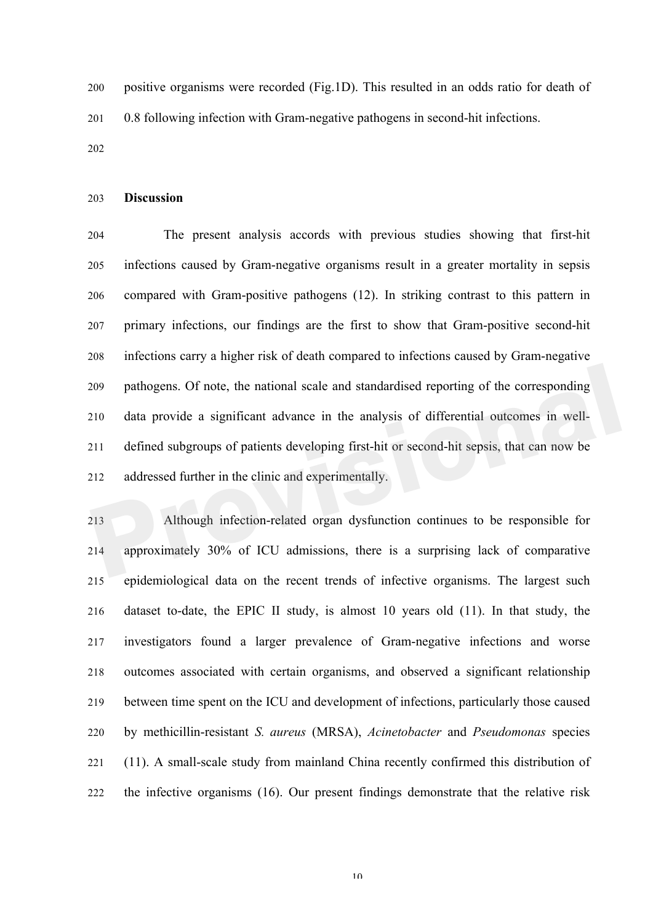positive organisms were recorded (Fig.1D). This resulted in an odds ratio for death of 0.8 following infection with Gram-negative pathogens in second-hit infections.

#### **Discussion**

 The present analysis accords with previous studies showing that first-hit infections caused by Gram-negative organisms result in a greater mortality in sepsis compared with Gram-positive pathogens (12). In striking contrast to this pattern in primary infections, our findings are the first to show that Gram-positive second-hit infections carry a higher risk of death compared to infections caused by Gram-negative pathogens. Of note, the national scale and standardised reporting of the corresponding data provide a significant advance in the analysis of differential outcomes in well- defined subgroups of patients developing first-hit or second-hit sepsis, that can now be addressed further in the clinic and experimentally. pathogens. Of note, the national scale and standardised reporting of the corresponding<br>
210 data provide a significant advance in the analysis of differential outcomes in well-<br>
211 defined subgroups of patients developing

 Although infection-related organ dysfunction continues to be responsible for approximately 30% of ICU admissions, there is a surprising lack of comparative epidemiological data on the recent trends of infective organisms. The largest such dataset to-date, the EPIC II study, is almost 10 years old (11). In that study, the investigators found a larger prevalence of Gram-negative infections and worse outcomes associated with certain organisms, and observed a significant relationship between time spent on the ICU and development of infections, particularly those caused by methicillin-resistant *S. aureus* (MRSA), *Acinetobacter* and *Pseudomonas* species (11). A small-scale study from mainland China recently confirmed this distribution of the infective organisms (16). Our present findings demonstrate that the relative risk

 $1<sub>0</sub>$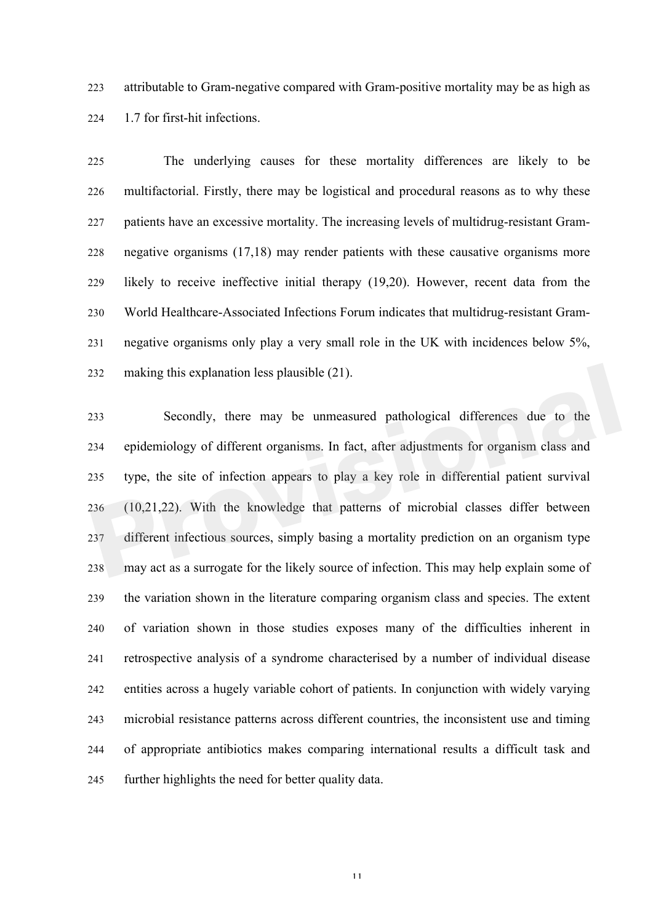attributable to Gram-negative compared with Gram-positive mortality may be as high as 1.7 for first-hit infections.

 The underlying causes for these mortality differences are likely to be multifactorial. Firstly, there may be logistical and procedural reasons as to why these patients have an excessive mortality. The increasing levels of multidrug-resistant Gram- negative organisms (17,18) may render patients with these causative organisms more likely to receive ineffective initial therapy (19,20). However, recent data from the World Healthcare-Associated Infections Forum indicates that multidrug-resistant Gram- negative organisms only play a very small role in the UK with incidences below 5%, making this explanation less plausible (21).

 Secondly, there may be unmeasured pathological differences due to the epidemiology of different organisms. In fact, after adjustments for organism class and type, the site of infection appears to play a key role in differential patient survival (10,21,22). With the knowledge that patterns of microbial classes differ between different infectious sources, simply basing a mortality prediction on an organism type may act as a surrogate for the likely source of infection. This may help explain some of the variation shown in the literature comparing organism class and species. The extent of variation shown in those studies exposes many of the difficulties inherent in retrospective analysis of a syndrome characterised by a number of individual disease entities across a hugely variable cohort of patients. In conjunction with widely varying microbial resistance patterns across different countries, the inconsistent use and timing of appropriate antibiotics makes comparing international results a difficult task and further highlights the need for better quality data. making this explanation less plausible (21).<br> **Providing Secondly, there may be unmeasured pathological differences due to the**<br> **Propriet of all epidemiology of different organisms.** In fact, after adjustments for organis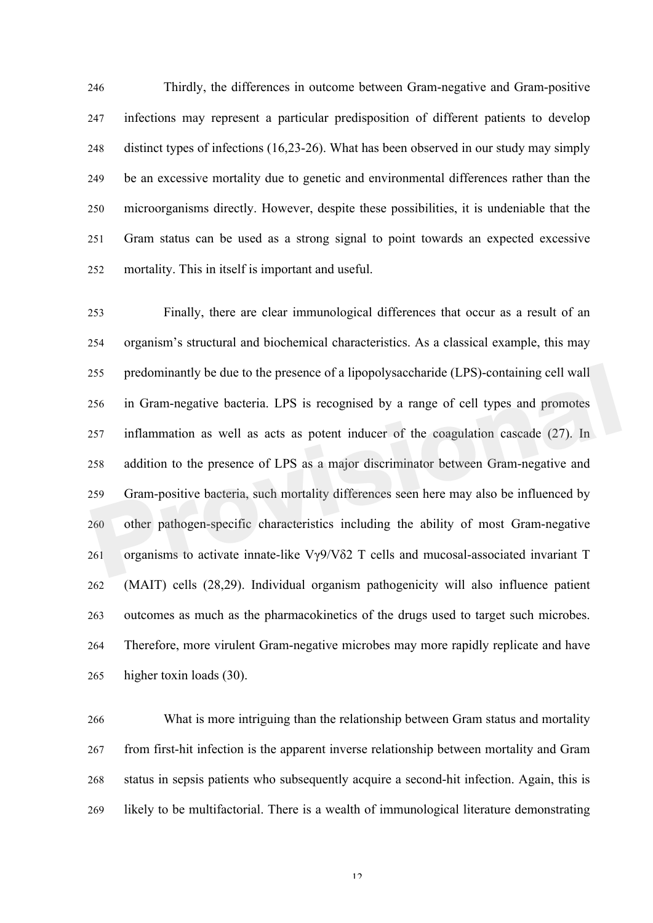Thirdly, the differences in outcome between Gram-negative and Gram-positive infections may represent a particular predisposition of different patients to develop distinct types of infections (16,23-26). What has been observed in our study may simply be an excessive mortality due to genetic and environmental differences rather than the microorganisms directly. However, despite these possibilities, it is undeniable that the Gram status can be used as a strong signal to point towards an expected excessive mortality. This in itself is important and useful.

 Finally, there are clear immunological differences that occur as a result of an organism's structural and biochemical characteristics. As a classical example, this may predominantly be due to the presence of a lipopolysaccharide (LPS)-containing cell wall in Gram-negative bacteria. LPS is recognised by a range of cell types and promotes inflammation as well as acts as potent inducer of the coagulation cascade (27). In addition to the presence of LPS as a major discriminator between Gram-negative and Gram-positive bacteria, such mortality differences seen here may also be influenced by other pathogen-specific characteristics including the ability of most Gram-negative organisms to activate innate-like Vγ9/Vδ2 T cells and mucosal-associated invariant T (MAIT) cells (28,29). Individual organism pathogenicity will also influence patient outcomes as much as the pharmacokinetics of the drugs used to target such microbes. Therefore, more virulent Gram-negative microbes may more rapidly replicate and have higher toxin loads (30). redominantly be due to the presence of a lipopolysaccharide (LPS)-containing cell wall<br>
in Gram-negative bacteria. LPS is recognised by a range of cell types and promotes<br>
inflammation as well as acts as potent inducer o

 What is more intriguing than the relationship between Gram status and mortality from first-hit infection is the apparent inverse relationship between mortality and Gram status in sepsis patients who subsequently acquire a second-hit infection. Again, this is likely to be multifactorial. There is a wealth of immunological literature demonstrating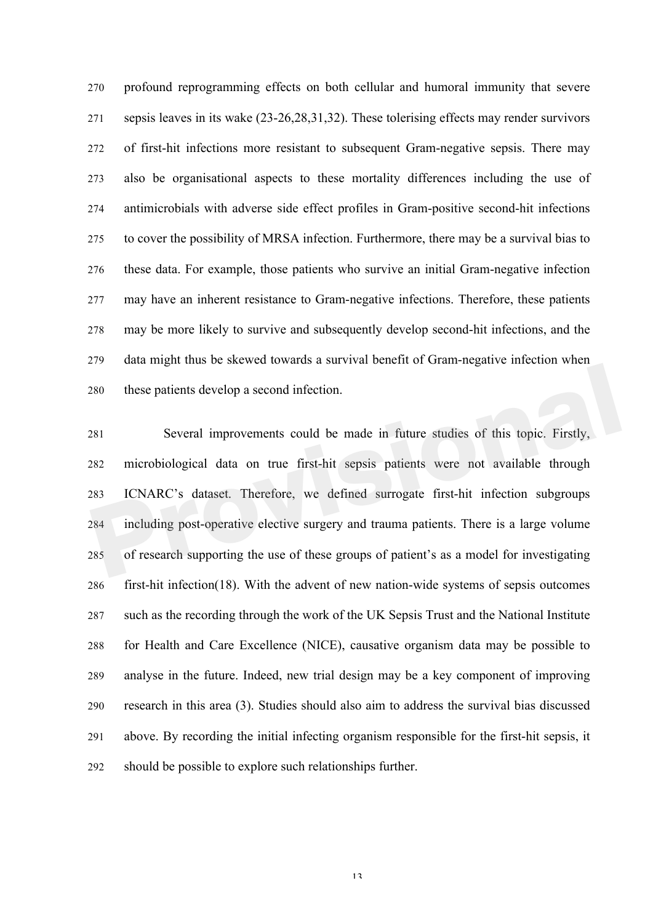profound reprogramming effects on both cellular and humoral immunity that severe sepsis leaves in its wake (23-26,28,31,32). These tolerising effects may render survivors of first-hit infections more resistant to subsequent Gram-negative sepsis. There may also be organisational aspects to these mortality differences including the use of antimicrobials with adverse side effect profiles in Gram-positive second-hit infections to cover the possibility of MRSA infection. Furthermore, there may be a survival bias to these data. For example, those patients who survive an initial Gram-negative infection may have an inherent resistance to Gram-negative infections. Therefore, these patients may be more likely to survive and subsequently develop second-hit infections, and the data might thus be skewed towards a survival benefit of Gram-negative infection when these patients develop a second infection.

 Several improvements could be made in future studies of this topic. Firstly, microbiological data on true first-hit sepsis patients were not available through ICNARC's dataset. Therefore, we defined surrogate first-hit infection subgroups including post-operative elective surgery and trauma patients. There is a large volume of research supporting the use of these groups of patient's as a model for investigating first-hit infection(18). With the advent of new nation-wide systems of sepsis outcomes such as the recording through the work of the UK Sepsis Trust and the National Institute for Health and Care Excellence (NICE), causative organism data may be possible to analyse in the future. Indeed, new trial design may be a key component of improving research in this area (3). Studies should also aim to address the survival bias discussed above. By recording the initial infecting organism responsible for the first-hit sepsis, it should be possible to explore such relationships further. The these patients develop a second infection.<br> **Providends a second infection**<br> **Providends a second infection**<br> **Providends a** second infection.<br> **Providends** in future studies of this topic. Firstly,<br> **Providends** incru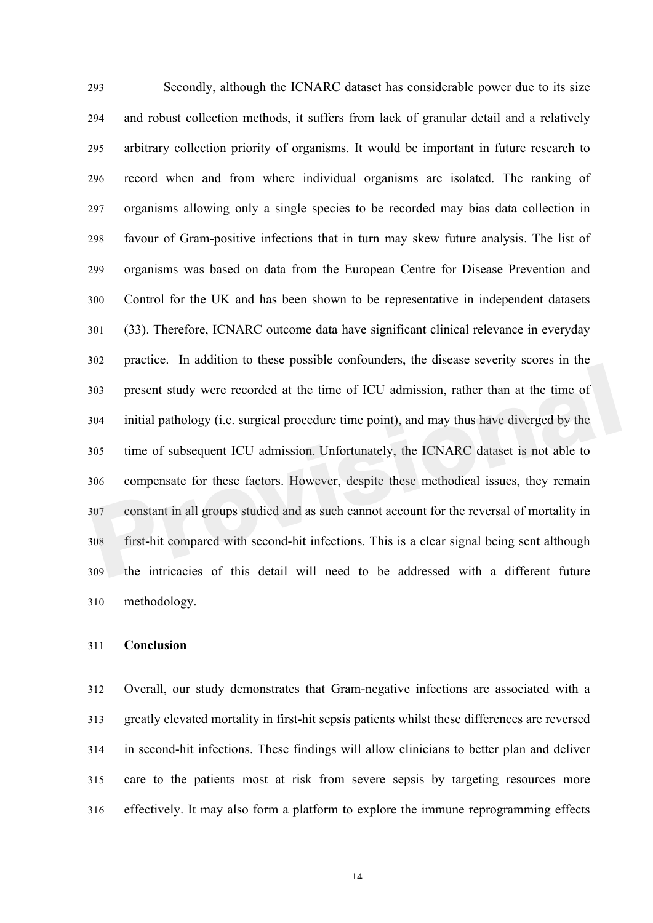Secondly, although the ICNARC dataset has considerable power due to its size and robust collection methods, it suffers from lack of granular detail and a relatively arbitrary collection priority of organisms. It would be important in future research to record when and from where individual organisms are isolated. The ranking of organisms allowing only a single species to be recorded may bias data collection in favour of Gram-positive infections that in turn may skew future analysis. The list of organisms was based on data from the European Centre for Disease Prevention and Control for the UK and has been shown to be representative in independent datasets (33). Therefore, ICNARC outcome data have significant clinical relevance in everyday practice. In addition to these possible confounders, the disease severity scores in the present study were recorded at the time of ICU admission, rather than at the time of initial pathology (i.e. surgical procedure time point), and may thus have diverged by the time of subsequent ICU admission. Unfortunately, the ICNARC dataset is not able to compensate for these factors. However, despite these methodical issues, they remain constant in all groups studied and as such cannot account for the reversal of mortality in first-hit compared with second-hit infections. This is a clear signal being sent although the intricacies of this detail will need to be addressed with a different future methodology. present study were recorded at the time of ICU admission, rather than at the time of<br>initial pathology (i.e. surgical procedure time point), and may thus have diverged by the<br>time of subsequent ICU admission. Unfortunately

### **Conclusion**

 Overall, our study demonstrates that Gram-negative infections are associated with a greatly elevated mortality in first-hit sepsis patients whilst these differences are reversed in second-hit infections. These findings will allow clinicians to better plan and deliver care to the patients most at risk from severe sepsis by targeting resources more effectively. It may also form a platform to explore the immune reprogramming effects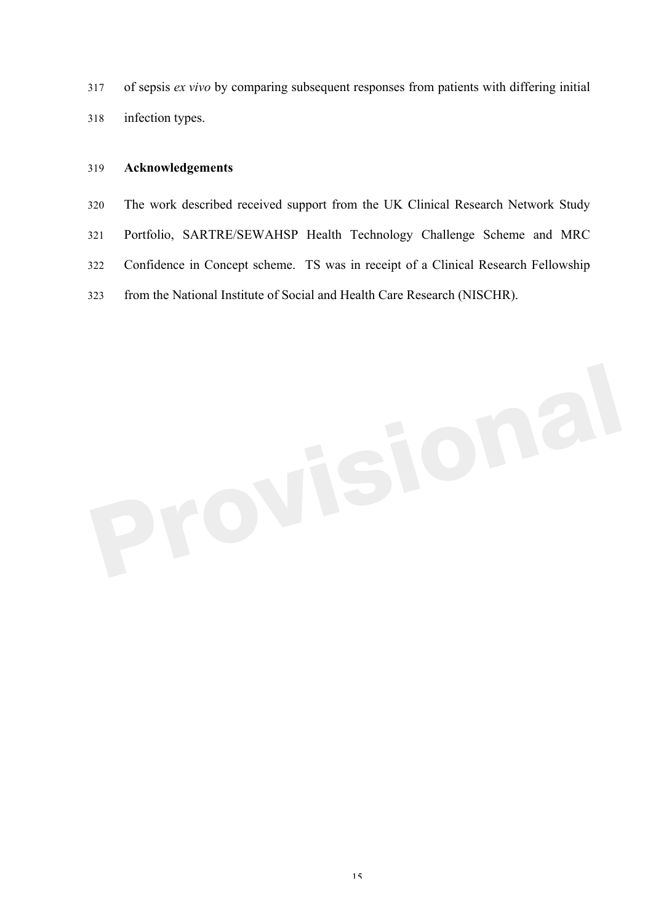of sepsis *ex vivo* by comparing subsequent responses from patients with differing initial infection types.

## **Acknowledgements**

 The work described received support from the UK Clinical Research Network Study Portfolio, SARTRE/SEWAHSP Health Technology Challenge Scheme and MRC Confidence in Concept scheme. TS was in receipt of a Clinical Research Fellowship from the National Institute of Social and Health Care Research (NISCHR).

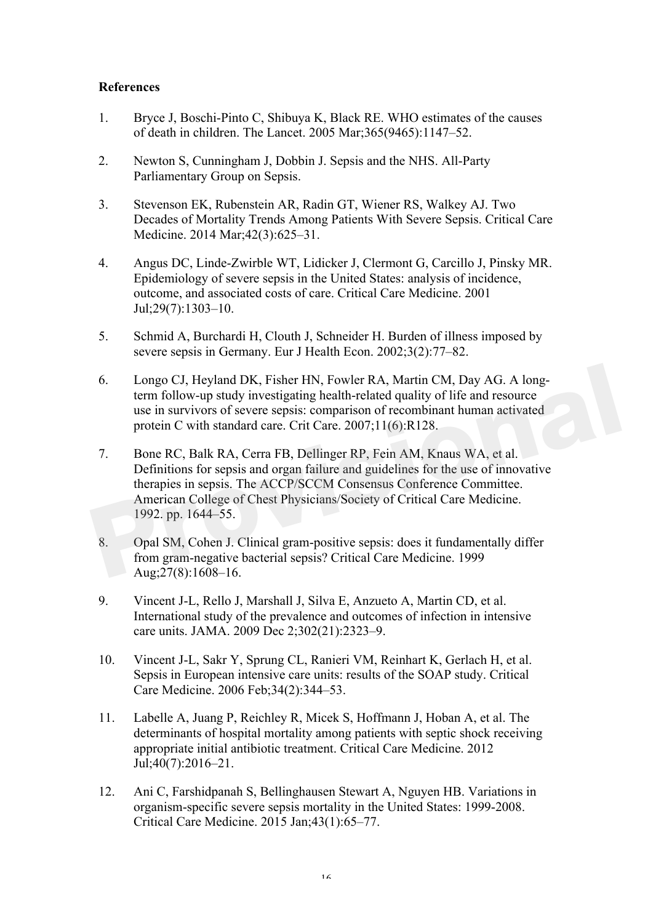## **References**

- 1. Bryce J, Boschi-Pinto C, Shibuya K, Black RE. WHO estimates of the causes of death in children. The Lancet. 2005 Mar;365(9465):1147–52.
- 2. Newton S, Cunningham J, Dobbin J. Sepsis and the NHS. All-Party Parliamentary Group on Sepsis.
- 3. Stevenson EK, Rubenstein AR, Radin GT, Wiener RS, Walkey AJ. Two Decades of Mortality Trends Among Patients With Severe Sepsis. Critical Care Medicine. 2014 Mar;42(3):625–31.
- 4. Angus DC, Linde-Zwirble WT, Lidicker J, Clermont G, Carcillo J, Pinsky MR. Epidemiology of severe sepsis in the United States: analysis of incidence, outcome, and associated costs of care. Critical Care Medicine. 2001 Jul;29(7):1303–10.
- 5. Schmid A, Burchardi H, Clouth J, Schneider H. Burden of illness imposed by severe sepsis in Germany. Eur J Health Econ. 2002;3(2):77–82.
- 6. Longo CJ, Heyland DK, Fisher HN, Fowler RA, Martin CM, Day AG. A longterm follow-up study investigating health-related quality of life and resource use in survivors of severe sepsis: comparison of recombinant human activated protein C with standard care. Crit Care. 2007;11(6):R128.
- 7. Bone RC, Balk RA, Cerra FB, Dellinger RP, Fein AM, Knaus WA, et al. Definitions for sepsis and organ failure and guidelines for the use of innovative therapies in sepsis. The ACCP/SCCM Consensus Conference Committee. American College of Chest Physicians/Society of Critical Care Medicine. 1992. pp. 1644–55. From Compositive Service and Service and Service and Service and Service Augusting Augustics and the different follow-up study investigating health-related quality of life and resource use in survivors of severe sepsis: co
	- 8. Opal SM, Cohen J. Clinical gram-positive sepsis: does it fundamentally differ from gram-negative bacterial sepsis? Critical Care Medicine. 1999 Aug;27(8):1608–16.
	- 9. Vincent J-L, Rello J, Marshall J, Silva E, Anzueto A, Martin CD, et al. International study of the prevalence and outcomes of infection in intensive care units. JAMA. 2009 Dec 2;302(21):2323–9.
	- 10. Vincent J-L, Sakr Y, Sprung CL, Ranieri VM, Reinhart K, Gerlach H, et al. Sepsis in European intensive care units: results of the SOAP study. Critical Care Medicine. 2006 Feb;34(2):344–53.
	- 11. Labelle A, Juang P, Reichley R, Micek S, Hoffmann J, Hoban A, et al. The determinants of hospital mortality among patients with septic shock receiving appropriate initial antibiotic treatment. Critical Care Medicine. 2012 Jul;40(7):2016–21.
	- 12. Ani C, Farshidpanah S, Bellinghausen Stewart A, Nguyen HB. Variations in organism-specific severe sepsis mortality in the United States: 1999-2008. Critical Care Medicine. 2015 Jan;43(1):65–77.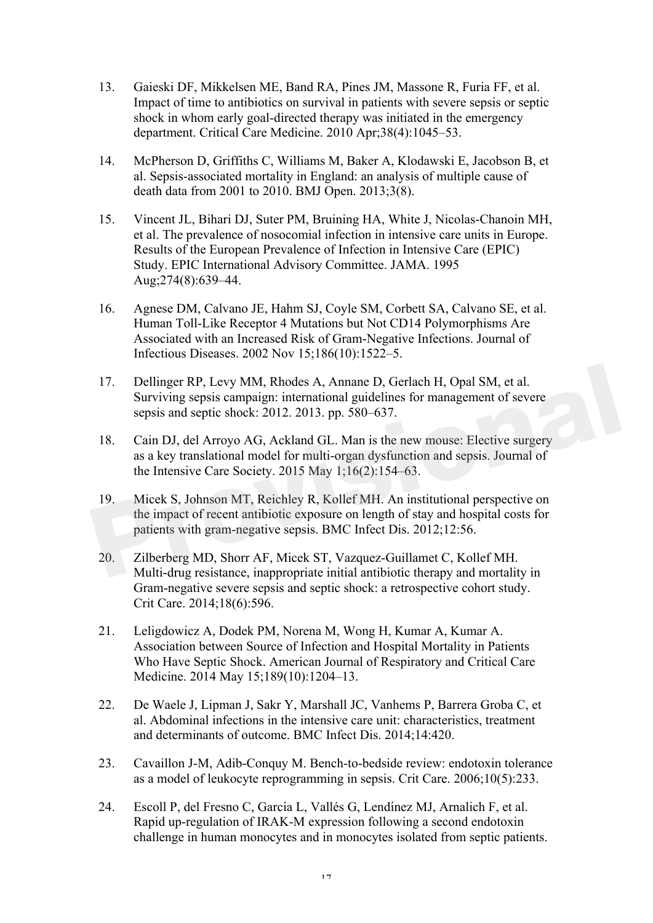- 13. Gaieski DF, Mikkelsen ME, Band RA, Pines JM, Massone R, Furia FF, et al. Impact of time to antibiotics on survival in patients with severe sepsis or septic shock in whom early goal-directed therapy was initiated in the emergency department. Critical Care Medicine. 2010 Apr;38(4):1045–53.
- 14. McPherson D, Griffiths C, Williams M, Baker A, Klodawski E, Jacobson B, et al. Sepsis-associated mortality in England: an analysis of multiple cause of death data from 2001 to 2010. BMJ Open. 2013;3(8).
- 15. Vincent JL, Bihari DJ, Suter PM, Bruining HA, White J, Nicolas-Chanoin MH, et al. The prevalence of nosocomial infection in intensive care units in Europe. Results of the European Prevalence of Infection in Intensive Care (EPIC) Study. EPIC International Advisory Committee. JAMA. 1995 Aug;274(8):639–44.
- 16. Agnese DM, Calvano JE, Hahm SJ, Coyle SM, Corbett SA, Calvano SE, et al. Human Toll-Like Receptor 4 Mutations but Not CD14 Polymorphisms Are Associated with an Increased Risk of Gram-Negative Infections. Journal of Infectious Diseases. 2002 Nov 15;186(10):1522–5.
- 17. Dellinger RP, Levy MM, Rhodes A, Annane D, Gerlach H, Opal SM, et al. Surviving sepsis campaign: international guidelines for management of severe sepsis and septic shock: 2012. 2013. pp. 580–637.
- 18. Cain DJ, del Arroyo AG, Ackland GL. Man is the new mouse: Elective surgery as a key translational model for multi-organ dysfunction and sepsis. Journal of the Intensive Care Society. 2015 May 1;16(2):154–63.
- 19. Micek S, Johnson MT, Reichley R, Kollef MH. An institutional perspective on the impact of recent antibiotic exposure on length of stay and hospital costs for patients with gram-negative sepsis. BMC Infect Dis. 2012;12:56. 17. Dellinger RP, Levy MM, Rhodes A, Annane D, Gerlach H, Opal SM, et al.<br>
Surviving sepsis campaign: international guidelines for management of severe<br>
sepsis and septic shock: 2012. 2013. pp. 580–637.<br>
18. Cain DJ, del A
	- 20. Zilberberg MD, Shorr AF, Micek ST, Vazquez-Guillamet C, Kollef MH. Multi-drug resistance, inappropriate initial antibiotic therapy and mortality in Gram-negative severe sepsis and septic shock: a retrospective cohort study. Crit Care. 2014;18(6):596.
	- 21. Leligdowicz A, Dodek PM, Norena M, Wong H, Kumar A, Kumar A. Association between Source of Infection and Hospital Mortality in Patients Who Have Septic Shock. American Journal of Respiratory and Critical Care Medicine. 2014 May 15;189(10):1204–13.
	- 22. De Waele J, Lipman J, Sakr Y, Marshall JC, Vanhems P, Barrera Groba C, et al. Abdominal infections in the intensive care unit: characteristics, treatment and determinants of outcome. BMC Infect Dis. 2014;14:420.
	- 23. Cavaillon J-M, Adib-Conquy M. Bench-to-bedside review: endotoxin tolerance as a model of leukocyte reprogramming in sepsis. Crit Care. 2006;10(5):233.
	- 24. Escoll P, del Fresno C, García L, Vallés G, Lendínez MJ, Arnalich F, et al. Rapid up-regulation of IRAK-M expression following a second endotoxin challenge in human monocytes and in monocytes isolated from septic patients.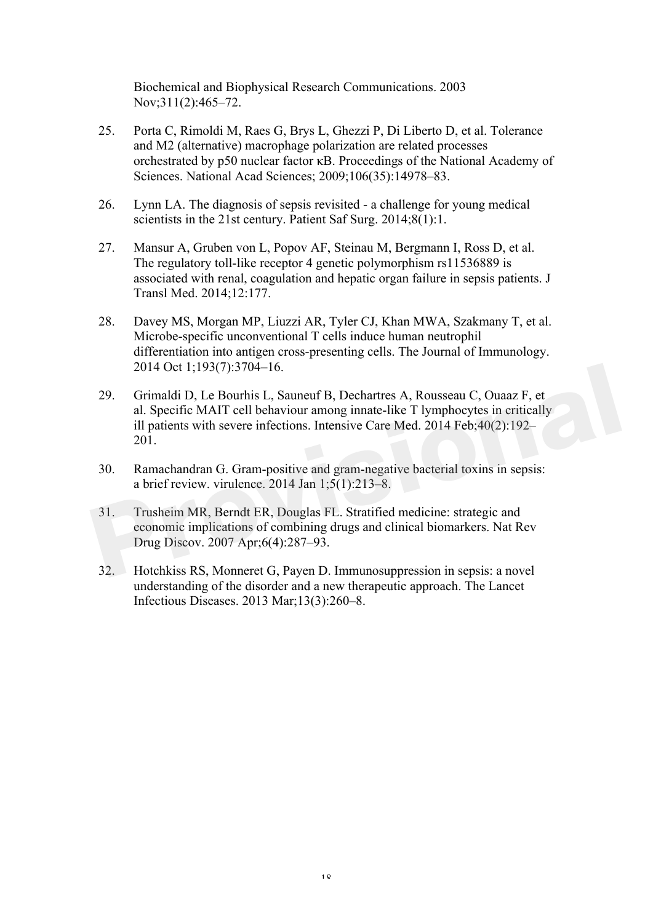Biochemical and Biophysical Research Communications. 2003 Nov;311(2):465–72.

- 25. Porta C, Rimoldi M, Raes G, Brys L, Ghezzi P, Di Liberto D, et al. Tolerance and M2 (alternative) macrophage polarization are related processes orchestrated by p50 nuclear factor κB. Proceedings of the National Academy of Sciences. National Acad Sciences; 2009;106(35):14978–83.
- 26. Lynn LA. The diagnosis of sepsis revisited a challenge for young medical scientists in the 21st century. Patient Saf Surg. 2014;8(1):1.
- 27. Mansur A, Gruben von L, Popov AF, Steinau M, Bergmann I, Ross D, et al. The regulatory toll-like receptor 4 genetic polymorphism rs11536889 is associated with renal, coagulation and hepatic organ failure in sepsis patients. J Transl Med. 2014;12:177.
- 28. Davey MS, Morgan MP, Liuzzi AR, Tyler CJ, Khan MWA, Szakmany T, et al. Microbe-specific unconventional T cells induce human neutrophil differentiation into antigen cross-presenting cells. The Journal of Immunology. 2014 Oct 1;193(7):3704–16.
- 29. Grimaldi D, Le Bourhis L, Sauneuf B, Dechartres A, Rousseau C, Ouaaz F, et al. Specific MAIT cell behaviour among innate-like T lymphocytes in critically ill patients with severe infections. Intensive Care Med. 2014 Feb;40(2):192– 201. 2014 Oct 1;193(7):3704–16.<br>
29. Grimaldi D, Le Bourhis L, Sauneuf B, Dechartres A, Rousseau C, Ouaaz F, et<br>
al. Specific MAIT cell behaviour among innate-like T lymphocytes in critically<br>
ill patients with severe infection
	- 30. Ramachandran G. Gram-positive and gram-negative bacterial toxins in sepsis: a brief review. virulence.  $2014$  Jan  $1;5(1):213-8$ .
	- 31. Trusheim MR, Berndt ER, Douglas FL. Stratified medicine: strategic and economic implications of combining drugs and clinical biomarkers. Nat Rev Drug Discov. 2007 Apr;6(4):287–93.
	- 32. Hotchkiss RS, Monneret G, Payen D. Immunosuppression in sepsis: a novel understanding of the disorder and a new therapeutic approach. The Lancet Infectious Diseases. 2013 Mar;13(3):260–8.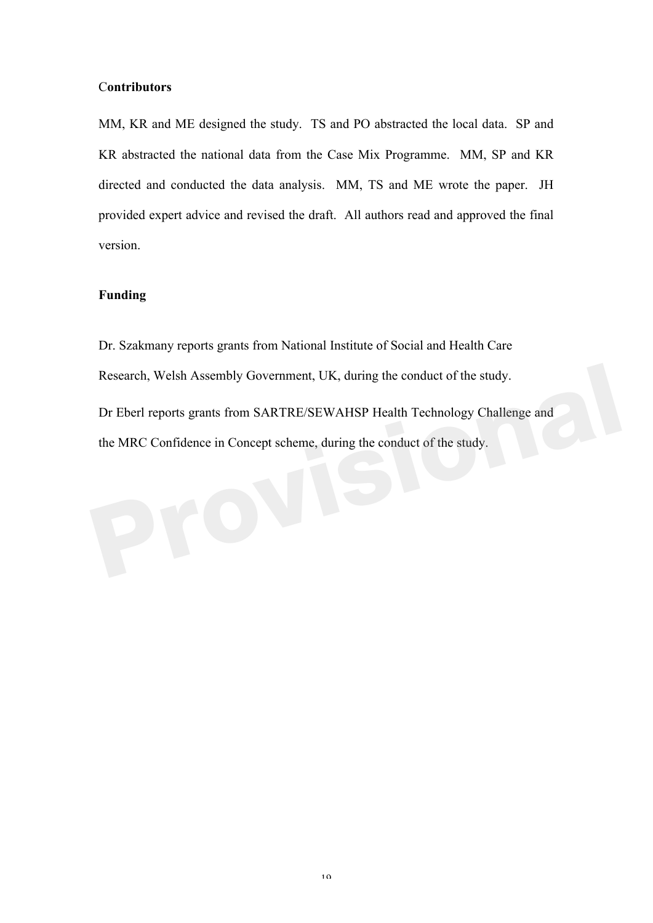## C**ontributors**

MM, KR and ME designed the study. TS and PO abstracted the local data. SP and KR abstracted the national data from the Case Mix Programme. MM, SP and KR directed and conducted the data analysis. MM, TS and ME wrote the paper. JH provided expert advice and revised the draft. All authors read and approved the final version.

## **Funding**

Dr. Szakmany reports grants from National Institute of Social and Health Care Research, Welsh Assembly Government, UK, during the conduct of the study. Dr Eberl reports grants from SARTRE/SEWAHSP Health Technology Challenge and the MRC Confidence in Concept scheme, during the conduct of the study. Research, Welsh Assembly Government, UK, during the conduct of the study.<br>
Dr Eberl reports grants from SARTRE/SEWAHSP Health Technology Challenge and<br>
the MRC Confidence in Concept scheme, during the conduct of the study.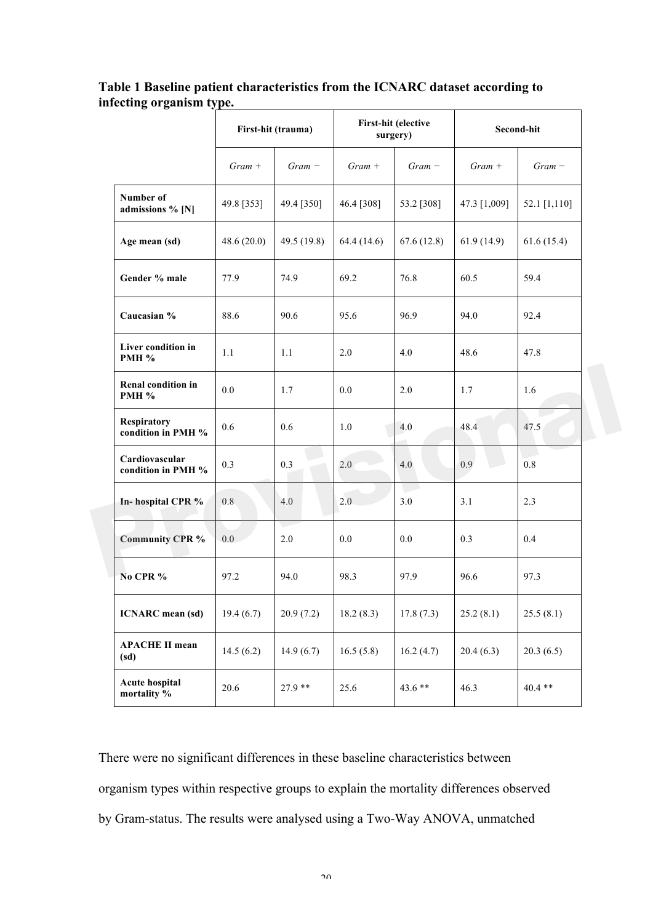|                                      | First-hit (trauma) |             | First-hit (elective<br>surgery) |            | Second-hit   |              |
|--------------------------------------|--------------------|-------------|---------------------------------|------------|--------------|--------------|
|                                      | $Gram +$           | $Gram -$    | $Gram +$                        | $Gram -$   | $Gram +$     | $Gram -$     |
| Number of<br>admissions % [N]        | 49.8 [353]         | 49.4 [350]  | 46.4 [308]                      | 53.2 [308] | 47.3 [1,009] | 52.1 [1,110] |
| Age mean (sd)                        | 48.6(20.0)         | 49.5 (19.8) | 64.4(14.6)                      | 67.6(12.8) | 61.9(14.9)   | 61.6(15.4)   |
| Gender % male                        | 77.9               | 74.9        | 69.2                            | 76.8       | 60.5         | 59.4         |
| Caucasian %                          | 88.6               | 90.6        | 95.6                            | 96.9       | 94.0         | 92.4         |
| Liver condition in<br>PMH %          | 1.1                | 1.1         | 2.0                             | 4.0        | 48.6         | 47.8         |
| Renal condition in<br><b>PMH %</b>   | 0.0                | 1.7         | 0.0                             | 2.0        | 1.7          | 1.6          |
| Respiratory<br>condition in PMH %    | 0.6                | 0.6         | 1.0                             | 4.0        | 48.4         | 47.5         |
| Cardiovascular<br>condition in PMH % | 0.3                | 0.3         | 2.0                             | 4.0        | 0.9          | 0.8          |
| In-hospital CPR %                    | 0.8                | 4.0         | 2.0                             | 3.0        | 3.1          | 2.3          |
| <b>Community CPR %</b>               | 0.0                | 2.0         | 0.0                             | 0.0        | 0.3          | 0.4          |
| No CPR %                             | 97.2               | 94.0        | 98.3                            | 97.9       | 96.6         | 97.3         |
| <b>ICNARC</b> mean (sd)              | 19.4(6.7)          | 20.9(7.2)   | 18.2(8.3)                       | 17.8(7.3)  | 25.2(8.1)    | 25.5(8.1)    |
| <b>APACHE II mean</b><br>(sd)        | 14.5(6.2)          | 14.9(6.7)   | 16.5(5.8)                       | 16.2(4.7)  | 20.4(6.3)    | 20.3(6.5)    |
| <b>Acute hospital</b><br>mortality % | $20.6\,$           | $27.9**$    | 25.6                            | 43.6 **    | 46.3         | $40.4$ **    |

**Table 1 Baseline patient characteristics from the ICNARC dataset according to infecting organism type.**

There were no significant differences in these baseline characteristics between organism types within respective groups to explain the mortality differences observed by Gram-status. The results were analysed using a Two-Way ANOVA, unmatched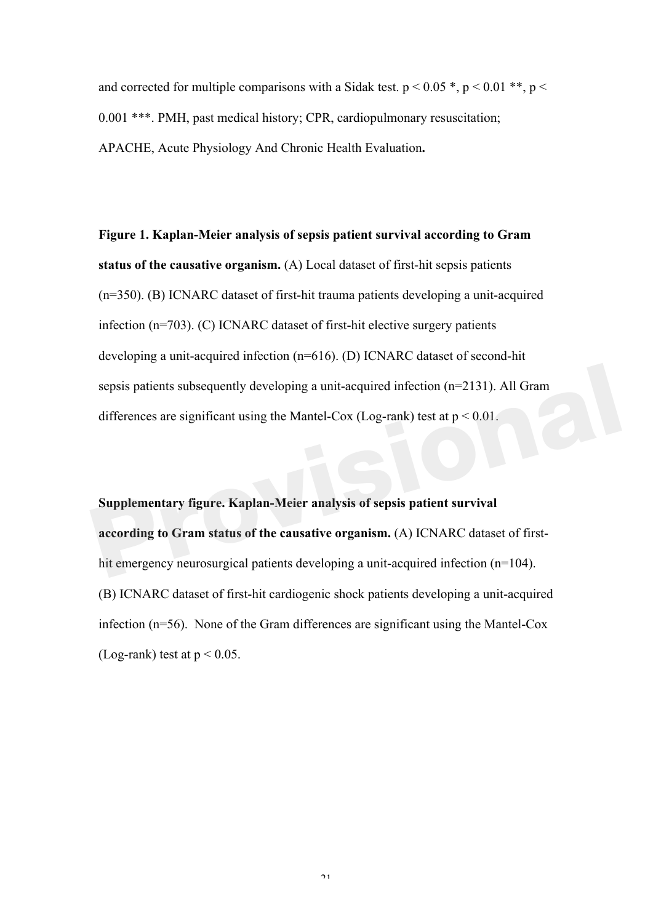and corrected for multiple comparisons with a Sidak test.  $p < 0.05$ ,  $p < 0.01$ , \*\*,  $p <$ 0.001 \*\*\*. PMH, past medical history; CPR, cardiopulmonary resuscitation; APACHE, Acute Physiology And Chronic Health Evaluation**.**

**Figure 1. Kaplan-Meier analysis of sepsis patient survival according to Gram status of the causative organism.** (A) Local dataset of first-hit sepsis patients (n=350). (B) ICNARC dataset of first-hit trauma patients developing a unit-acquired infection (n=703). (C) ICNARC dataset of first-hit elective surgery patients developing a unit-acquired infection (n=616). (D) ICNARC dataset of second-hit sepsis patients subsequently developing a unit-acquired infection (n=2131). All Gram differences are significant using the Mantel-Cox (Log-rank) test at  $p < 0.01$ .

**Supplementary figure. Kaplan-Meier analysis of sepsis patient survival according to Gram status of the causative organism.** (A) ICNARC dataset of firsthit emergency neurosurgical patients developing a unit-acquired infection (n=104). (B) ICNARC dataset of first-hit cardiogenic shock patients developing a unit-acquired infection (n=56). None of the Gram differences are significant using the Mantel-Cox (Log-rank) test at  $p < 0.05$ . sepsis patients subsequently developing a unit-acquired infection  $(n=2131)$ . All Gram<br>differences are significant using the Mantel-Cox (Log-rank) test at  $p < 0.01$ .<br>Supplementary figure. Kaplan-Meier analysis of sepsis pa